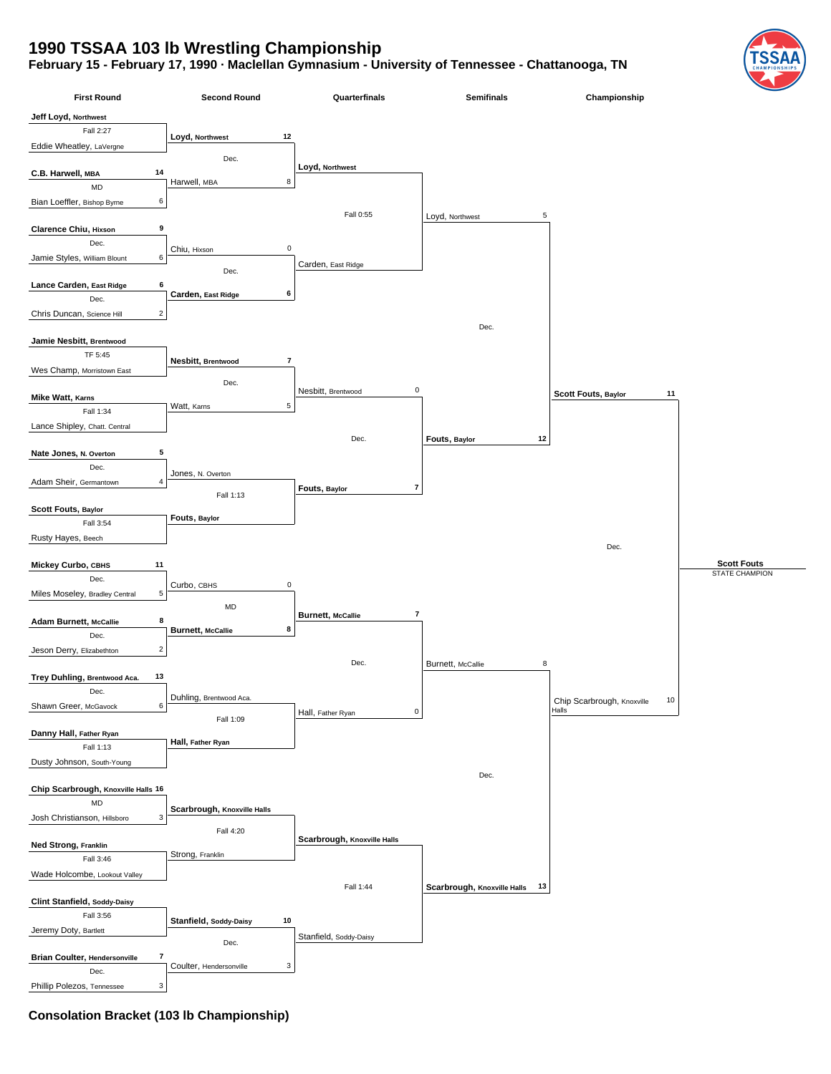## **1990 TSSAA 103 lb Wrestling Championship**

## **February 15 - February 17, 1990 · Maclellan Gymnasium - University of Tennessee - Chattanooga, TN**



**Consolation Bracket (103 lb Championship)**